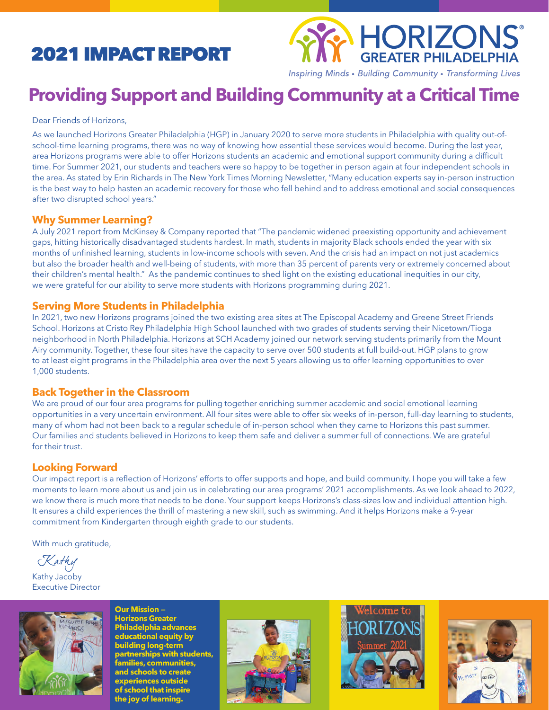# 2021 IMPACT REPORT



Inspiring Minds • Building Community • Transforming Lives

# **Providing Support and Building Community at a Critical Time**

Dear Friends of Horizons,

As we launched Horizons Greater Philadelphia (HGP) in January 2020 to serve more students in Philadelphia with quality out-ofschool-time learning programs, there was no way of knowing how essential these services would become. During the last year, area Horizons programs were able to offer Horizons students an academic and emotional support community during a difficult time. For Summer 2021, our students and teachers were so happy to be together in person again at four independent schools in the area. As stated by Erin Richards in The New York Times Morning Newsletter, "Many education experts say in-person instruction is the best way to help hasten an academic recovery for those who fell behind and to address emotional and social consequences after two disrupted school years."

## **Why Summer Learning?**

A July 2021 report from McKinsey & Company reported that "The pandemic widened preexisting opportunity and achievement gaps, hitting historically disadvantaged students hardest. In math, students in majority Black schools ended the year with six months of unfinished learning, students in low-income schools with seven. And the crisis had an impact on not just academics but also the broader health and well-being of students, with more than 35 percent of parents very or extremely concerned about their children's mental health." As the pandemic continues to shed light on the existing educational inequities in our city, we were grateful for our ability to serve more students with Horizons programming during 2021.

## **Serving More Students in Philadelphia**

In 2021, two new Horizons programs joined the two existing area sites at The Episcopal Academy and Greene Street Friends School. Horizons at Cristo Rey Philadelphia High School launched with two grades of students serving their Nicetown/Tioga neighborhood in North Philadelphia. Horizons at SCH Academy joined our network serving students primarily from the Mount Airy community. Together, these four sites have the capacity to serve over 500 students at full build-out. HGP plans to grow to at least eight programs in the Philadelphia area over the next 5 years allowing us to offer learning opportunities to over 1,000 students.

## **Back Together in the Classroom**

We are proud of our four area programs for pulling together enriching summer academic and social emotional learning opportunities in a very uncertain environment. All four sites were able to offer six weeks of in-person, full-day learning to students, many of whom had not been back to a regular schedule of in-person school when they came to Horizons this past summer. Our families and students believed in Horizons to keep them safe and deliver a summer full of connections. We are grateful for their trust.

## **Looking Forward**

Our impact report is a reflection of Horizons' efforts to offer supports and hope, and build community. I hope you will take a few moments to learn more about us and join us in celebrating our area programs' 2021 accomplishments. As we look ahead to 2022, we know there is much more that needs to be done. Your support keeps Horizons's class-sizes low and individual attention high. It ensures a child experiences the thrill of mastering a new skill, such as swimming. And it helps Horizons make a 9-year commitment from Kindergarten through eighth grade to our students.

With much gratitude,

Kathy

Kathy Jacoby Executive Director



**Horizons Greater Philadelphia advances educational equity by building long-term partnerships with students, families, communities, and schools to create eriences outs of school that inspire the joy of learning.**

**Our Mission —** 





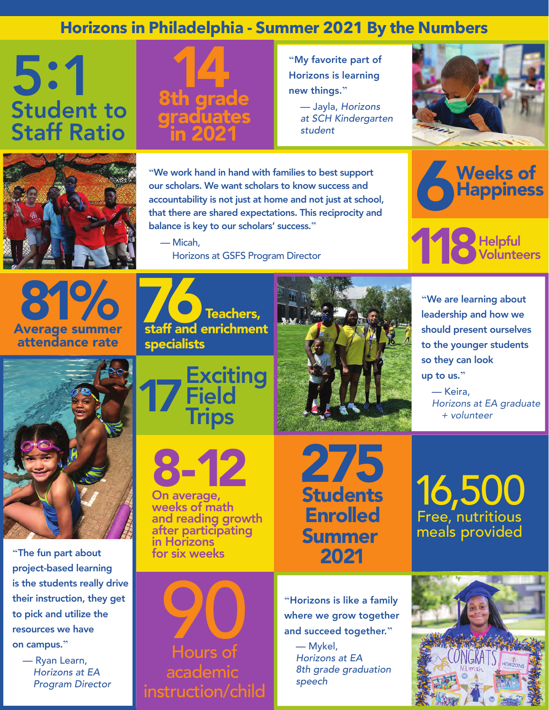## **Horizons in Philadelphia - Summer 2021 By the Numbers**

# 5:1 Student to Staff Ratio



**"**My favorite part of Horizons is learning new things.**"**

 — Jayla, *Horizons at SCH Kindergarten student*





**"**We work hand in hand with families to best support our scholars. We want scholars to know success and accountability is not just at home and not just at school, that there are shared expectations. This reciprocity and balance is key to our scholars' success.**"**

 — Micah, Horizons at GSFS Program Director





Average summer attendance rate 81%



**"**The fun part about project-based learning is the students really drive their instruction, they get to pick and utilize the resources we have on campus.**"**

 — Ryan Learn, *Horizons at EA Program Director* 







On average, weeks of math and reading growth after participating in Horizons for six weeks

275 **Students** Enrolled Summer 2021

**"**We are learning about leadership and how we should present ourselves to the younger students so they can look up to us.**"**

 — Keira,  *Horizons at EA graduate + volunteer*

16,500 Free, nutritious meals provided

90 Hours of academic instruction/child

**"**Horizons is like a family where we grow together and succeed together.**"**

> — Mykel, *Horizons at EA 8th grade graduation speech*

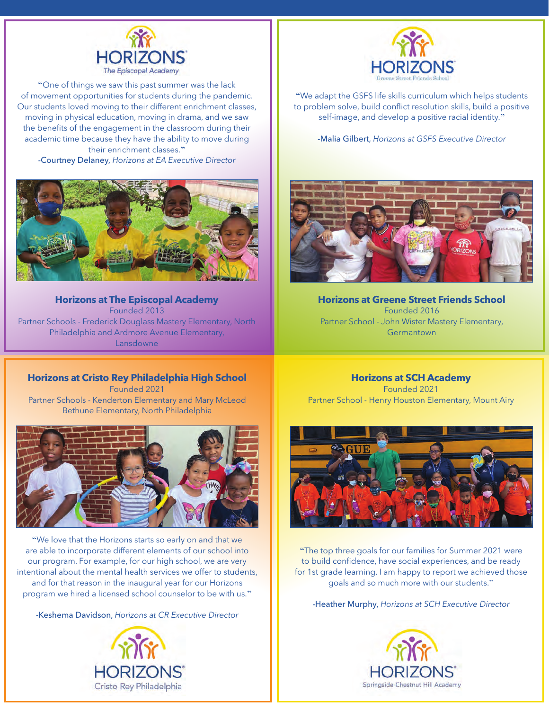

**"**One of things we saw this past summer was the lack of movement opportunities for students during the pandemic. Our students loved moving to their different enrichment classes, moving in physical education, moving in drama, and we saw the benefits of the engagement in the classroom during their academic time because they have the ability to move during their enrichment classes.**"**

-Courtney Delaney, *Horizons at EA Executive Director* 



**Horizons at The Episcopal Academy** Founded 2013 Partner Schools - Frederick Douglass Mastery Elementary, North Philadelphia and Ardmore Avenue Elementary, Lansdowne

**"**We adapt the GSFS life skills curriculum which helps students to problem solve, build conflict resolution skills, build a positive self-image, and develop a positive racial identity.**"**

-Malia Gilbert, *Horizons at GSFS Executive Director*



**Horizons at Greene Street Friends School** Founded 2016 Partner School - John Wister Mastery Elementary, **Germantown** 

**Horizons at Cristo Rey Philadelphia High School** Founded 2021 Partner Schools - Kenderton Elementary and Mary McLeod Bethune Elementary, North Philadelphia



**"**We love that the Horizons starts so early on and that we are able to incorporate different elements of our school into our program. For example, for our high school, we are very intentional about the mental health services we offer to students, and for that reason in the inaugural year for our Horizons program we hired a licensed school counselor to be with us.**"** 

-Keshema Davidson, *Horizons at CR Executive Director* 



**Horizons at SCH Academy** Founded 2021 Partner School - Henry Houston Elementary, Mount Airy



**"**The top three goals for our families for Summer 2021 were to build confidence, have social experiences, and be ready for 1st grade learning. I am happy to report we achieved those goals and so much more with our students.**"**

-Heather Murphy, *Horizons at SCH Executive Director*